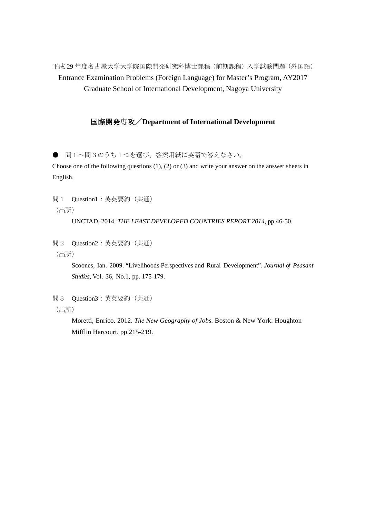平成 29 年度名古屋大学大学院国際開発研究科博士課程(前期課程)入学試験問題(外国語) Entrance Examination Problems (Foreign Language) for Master's Program, AY2017 Graduate School of International Development, Nagoya University

## 国際開発専攻/**Department of International Development**

● 問1~問3のうち1つを選び、答案用紙に英語で答えなさい。

Choose one of the following questions (1), (2) or (3) and write your answer on the answer sheets in English.

問1 Question1:英英要約(共通) (出所)

UNCTAD, 2014. *THE LEAST DEVELOPED COUNTRIES REPORT 2014,* pp.46-50.

問2 Question2:英英要約(共通) (出所)

> Scoones, Ian. 2009. "Livelihoods Perspectives and Rural Development". *Journal of Peasant Studies,* Vol. 36, No.1, pp. 175-179.

問3 Question3:英英要約(共通)

(出所)

 Moretti, Enrico. 2012. *The New Geography of Jobs.* Boston & New York: Houghton Mifflin Harcourt. pp.215-219.